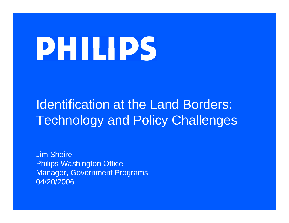# **DHIIIDS**

# Identification at the Land Borders: Technology and Policy Challenges

Jim SheirePhilips Washington Office Manager, Government Programs 04/20/2006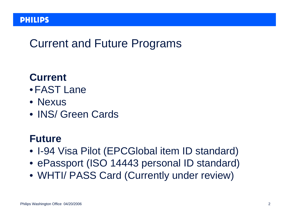## Current and Future Programs

#### **Current**

- •FAST Lane
- Nexus
- INS/ Green Cards

#### **Future**

- I-94 Visa Pilot (EPCGlobal item ID standard)
- ePassport (ISO 14443 personal ID standard)
- WHTI/ PASS Card (Currently under review)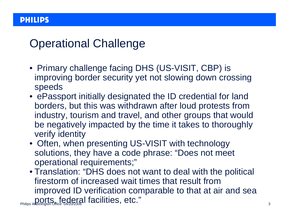## Operational Challenge

- Primary challenge facing DHS (US-VISIT, CBP) is improving border security yet not slowing down crossing speeds
- ePassport initially designated the ID credential for land borders, but this was withdrawn after loud protests from industry, tourism and travel, and other groups that would be negatively impacted by the time it takes to thoroughly verify identity
- Often, when presenting US-VISIT with technology solutions, they have a code phrase: "Does not meet operational requirements;"
- **Philips Washington Office 04/20/2006 | facilities, etc."** • Translation: "DHS does not want to deal with the political firestorm of increased wait times that result from improved ID verification comparable to that at air and sea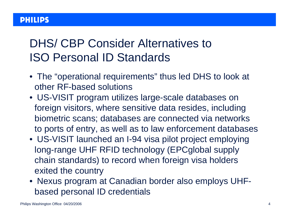## DHS/ CBP Consider Alternatives to ISO Personal ID Standards

- The "operational requirements" thus led DHS to look at other RF-based solutions
- US-VISIT program utilizes large-scale databases on foreign visitors, where sensitive data resides, including biometric scans; databases are connected via networks to ports of entry, as well as to law enforcement databases
- US-VISIT launched an I-94 visa pilot project employing long-range UHF RFID technology (EPCglobal supply chain standards) to record when foreign visa holders exited the country
- Nexus program at Canadian border also employs UHFbased personal ID credentials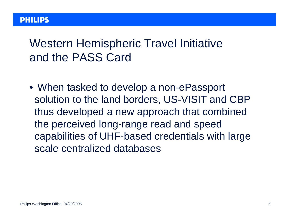## Western Hemispheric Travel Initiative and the PASS Card

• When tasked to develop a non-ePassport solution to the land borders, US-VISIT and CBP thus developed a new approach that combined the perceived long-range read and speed capabilities of UHF-based credentials with large scale centralized databases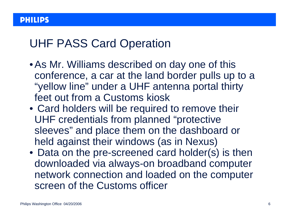#### UHF PASS Card Operation

- •As Mr. Williams described on day one of this conference, a car at the land border pulls up to a "yellow line" under a UHF antenna portal thirty feet out from a Customs kiosk
- Card holders will be required to remove their UHF credentials from planned "protective sleeves" and place them on the dashboard or held against their windows (as in Nexus)
- Data on the pre-screened card holder(s) is then downloaded via always-on broadband computer network connection and loaded on the computer screen of the Customs officer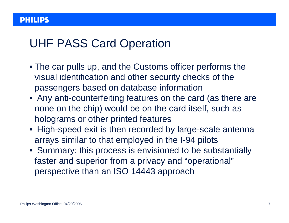#### UHF PASS Card Operation

- The car pulls up, and the Customs officer performs the visual identification and other security checks of the passengers based on database information
- Any anti-counterfeiting features on the card (as there are none on the chip) would be on the card itself, such as holograms or other printed features
- High-speed exit is then recorded by large-scale antenna arrays similar to that employed in the I-94 pilots
- Summary: this process is envisioned to be substantially faster and superior from a privacy and "operational" perspective than an ISO 14443 approach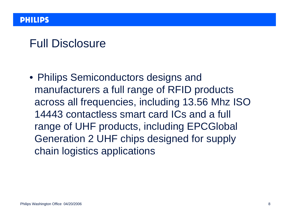#### Full Disclosure

• Philips Semiconductors designs and manufacturers a full range of RFID products across all frequencies, including 13.56 Mhz ISO 14443 contactless smart card ICs and a full range of UHF products, including EPCGlobal Generation 2 UHF chips designed for supply chain logistics applications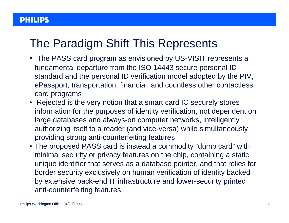## The Paradigm Shift This Represents

- The PASS card program as envisioned by US-VISIT represents a fundamental departure from the ISO 14443 secure personal ID standard and the personal ID verification model adopted by the PIV, ePassport, transportation, financial, and countless other contactless card programs
- Rejected is the very notion that a smart card IC securely stores information for the purposes of identity verification, not dependent on large databases and always-on computer networks, intelligently authorizing itself to a reader (and vice-versa) while simultaneously providing strong anti-counterfeiting features
- The proposed PASS card is instead a commodity "dumb card" with minimal security or privacy features on the chip, containing a static unique identifier that serves as a database pointer, and that relies for border security exclusively on human verification of identity backed by extensive back-end IT infrastructure and lower-security printed anti-counterfeiting features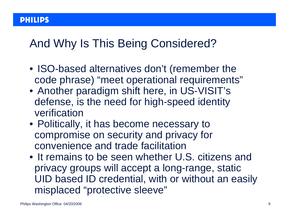## And Why Is This Being Considered?

- ISO-based alternatives don't (remember the code phrase) "meet operational requirements"
- Another paradigm shift here, in US-VISIT's defense, is the need for high-speed identity verification
- Politically, it has become necessary to compromise on security and privacy for convenience and trade facilitation
- It remains to be seen whether U.S. citizens and privacy groups will accept a long-range, static UID based ID credential, with or without an easily misplaced "protective sleeve"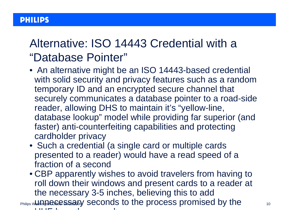## Alternative: ISO 14443 Credential with a "Database Pointer"

- An alternative might be an ISO 14443-based credential with solid security and privacy features such as a random temporary ID and an encrypted secure channel that securely communicates a database pointer to a road-side reader, allowing DHS to maintain it's "yellow-line, database lookup" model while providing far superior (and faster) anti-counterfeiting capabilities and protecting cardholder privacy
- Such a credential (a single card or multiple cards presented to a reader) would have a read speed of a fraction of a second
- $_{\rm{Philips}}$ w.l.Innae cessary seconds to the process promised by the  $_{\rm{10}}$ • CBP apparently wishes to avoid travelers from having to roll down their windows and present cards to a reader at the necessary 3-5 inches, believing this to add u u u u b de la construction de la construction de la construction de la construction de la construction de la constru h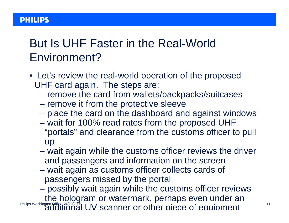## But Is UHF Faster in the Real-World Environment?

- Let's review the real-world operation of the proposed UHF card again. The steps are:
	- remove the card from wallets/backpacks/suitcases
	- remove it from the protective sleeve
	- place the card on the dashboard and against windows
	- wait for 100% read rates from the proposed UHF "portals" and clearance from the customs officer to pull up
	- wait again while the customs officer reviews the driver and passengers and information on the screen
	- wait again as customs officer collects cards of passengers missed by the portal
- Philips Washington Office 04/20/2006 11 possibly wait again while the customs officer reviews the hologram or watermark, perhaps even under an additional UV scanner orother piece ofequipment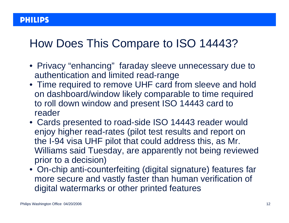### How Does This Compare to ISO 14443?

- Privacy "enhancing" faraday sleeve unnecessary due to authentication and limited read-range
- Time required to remove UHF card from sleeve and hold on dashboard/window likely comparable to time required to roll down window and present ISO 14443 card to reader
- Cards presented to road-side ISO 14443 reader would enjoy higher read-rates (pilot test results and report on the I-94 visa UHF pilot that could address this, as Mr. Williams said Tuesday, are apparently not being reviewed prior to a decision)
- On-chip anti-counterfeiting (digital signature) features far more secure and vastly faster than human verification of digital watermarks or other printed features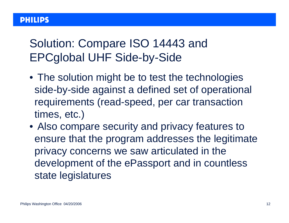## Solution: Compare ISO 14443 and EPCglobal UHF Side-by-Side

- The solution might be to test the technologies side-by-side against a defined set of operational requirements (read-speed, per car transaction times, etc.)
- Also compare security and privacy features to ensure that the program addresses the legitimate privacy concerns we saw articulated in the development of the ePassport and in countless state legislatures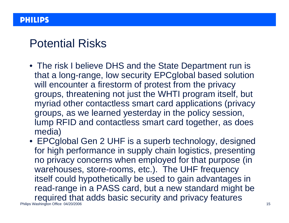#### Potential Risks

- The risk I believe DHS and the State Department run is that a long-range, low security EPCglobal based solution will encounter a firestorm of protest from the privacy groups, threatening not just the WHTI program itself, but myriad other contactless smart card applications (privacy groups, as we learned yesterday in the policy session, lump RFID and contactless smart card together, as does media)
- Philips Washington Office 04/20/2006 15 • EPCglobal Gen 2 UHF is a superb technology, designed for high performance in supply chain logistics, presenting no privacy concerns when employed for that purpose (in warehouses, store-rooms, etc.). The UHF frequency itself could hypothetically be used to gain advantages in read-range in a PASS card, but a new standard might be required that adds basic security and privacy features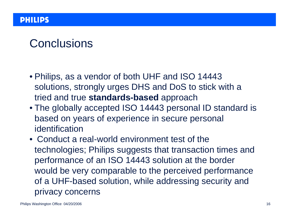## Conclusions

- Philips, as a vendor of both UHF and ISO 14443 solutions, strongly urges DHS and DoS to stick with a tried and true **standards-based** approach
- The globally accepted ISO 14443 personal ID standard is based on years of experience in secure personal identification
- Conduct a real-world environment test of the technologies; Philips suggests that transaction times and performance of an ISO 14443 solution at the border would be very comparable to the perceived performance of a UHF-based solution, while addressing security and privacy concerns